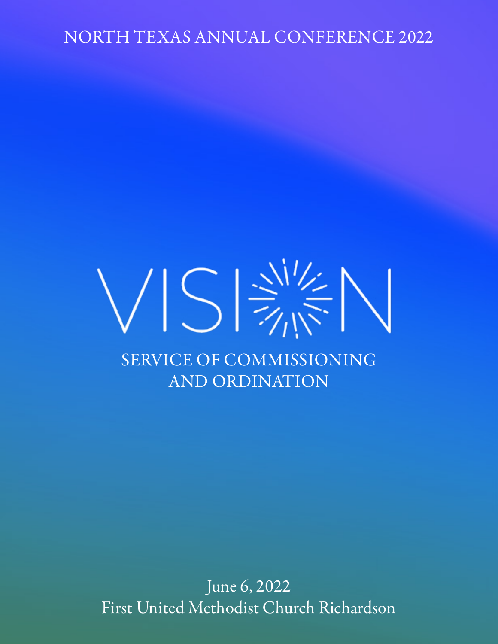NORTH TEXAS ANNUAL CONFERENCE 2022

# $\sqrt{\left|\right. 5\right. }\sqrt{\left. \frac{1}{10}\right. \frac{1}{100}}$ SERVICE OF COMMISSIONING AND ORDINATION

June 6, 2022 First United Methodist Church Richardson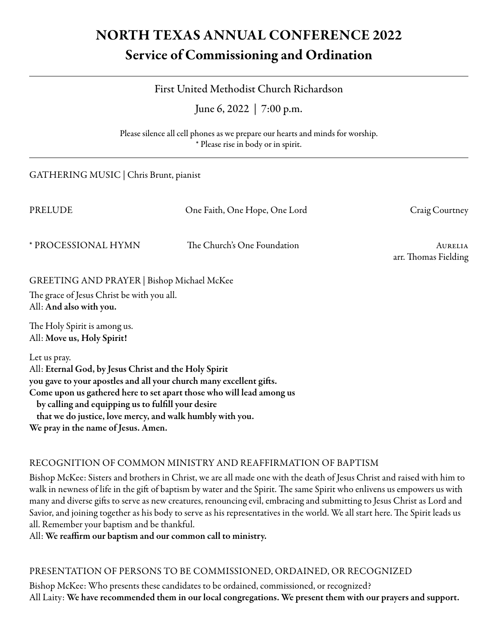# NORTH TEXAS ANNUAL CONFERENCE 2022 Service of Commissioning and Ordination

# First United Methodist Church Richardson

June 6, 2022 | 7:00 p.m.

Please silence all cell phones as we prepare our hearts and minds for worship. \* Please rise in body or in spirit.

| GATHERING MUSIC   Chris Brunt, pianist                                                                                                                                                                                                                                                                                                                                         |                                 |  |  |  |
|--------------------------------------------------------------------------------------------------------------------------------------------------------------------------------------------------------------------------------------------------------------------------------------------------------------------------------------------------------------------------------|---------------------------------|--|--|--|
| One Faith, One Hope, One Lord                                                                                                                                                                                                                                                                                                                                                  | Craig Courtney                  |  |  |  |
| The Church's One Foundation                                                                                                                                                                                                                                                                                                                                                    | AURELIA<br>arr. Thomas Fielding |  |  |  |
| GREETING AND PRAYER   Bishop Michael McKee<br>The grace of Jesus Christ be with you all.<br>All: And also with you.                                                                                                                                                                                                                                                            |                                 |  |  |  |
|                                                                                                                                                                                                                                                                                                                                                                                |                                 |  |  |  |
| Let us pray.<br>All: Eternal God, by Jesus Christ and the Holy Spirit<br>you gave to your apostles and all your church many excellent gifts.<br>Come upon us gathered here to set apart those who will lead among us<br>by calling and equipping us to fulfill your desire<br>that we do justice, love mercy, and walk humbly with you.<br>We pray in the name of Jesus. Amen. |                                 |  |  |  |
|                                                                                                                                                                                                                                                                                                                                                                                |                                 |  |  |  |

## RECOGNITION OF COMMON MINISTRY AND REAFFIRMATION OF BAPTISM

Bishop McKee: Sisters and brothers in Christ, we are all made one with the death of Jesus Christ and raised with him to walk in newness of life in the gift of baptism by water and the Spirit. The same Spirit who enlivens us empowers us with many and diverse gifts to serve as new creatures, renouncing evil, embracing and submitting to Jesus Christ as Lord and Savior, and joining together as his body to serve as his representatives in the world. We all start here. The Spirit leads us all. Remember your baptism and be thankful.

All: We reaffirm our baptism and our common call to ministry.

#### PRESENTATION OF PERSONS TO BE COMMISSIONED, ORDAINED, OR RECOGNIZED

Bishop McKee: Who presents these candidates to be ordained, commissioned, or recognized? All Laity: We have recommended them in our local congregations. We present them with our prayers and support.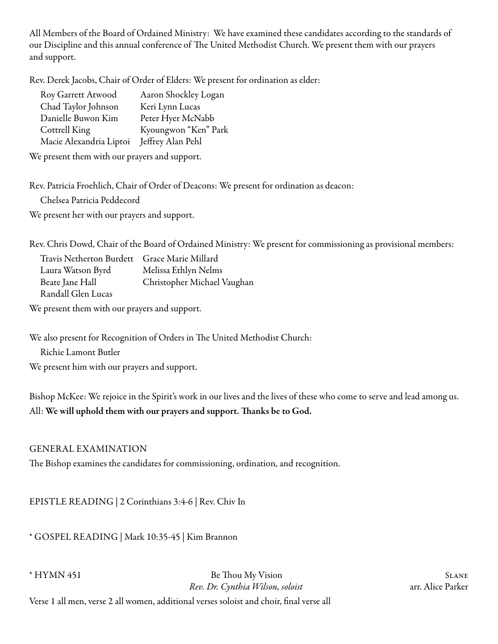All Members of the Board of Ordained Ministry: We have examined these candidates according to the standards of our Discipline and this annual conference of The United Methodist Church. We present them with our prayers and support.

Rev. Derek Jacobs, Chair of Order of Elders: We present for ordination as elder:

| Roy Garrett Atwood      | Aaron Shockley Logan |
|-------------------------|----------------------|
| Chad Taylor Johnson     | Keri Lynn Lucas      |
| Danielle Buwon Kim      | Peter Hyer McNabb    |
| Cottrell King           | Kyoungwon "Ken" Park |
| Macie Alexandria Liptoi | Jeffrey Alan Pehl    |

We present them with our prayers and support.

Rev. Patricia Froehlich, Chair of Order of Deacons: We present for ordination as deacon:

Chelsea Patricia Peddecord

We present her with our prayers and support.

Rev. Chris Dowd, Chair of the Board of Ordained Ministry: We present for commissioning as provisional members:

| Travis Netherton Burdett Grace Marie Millard |                             |
|----------------------------------------------|-----------------------------|
| Laura Watson Byrd                            | Melissa Ethlyn Nelms        |
| Beate Jane Hall                              | Christopher Michael Vaughan |
| Randall Glen Lucas                           |                             |

We present them with our prayers and support.

We also present for Recognition of Orders in The United Methodist Church:

Richie Lamont Butler

We present him with our prayers and support.

Bishop McKee: We rejoice in the Spirit's work in our lives and the lives of these who come to serve and lead among us. All: We will uphold them with our prayers and support. Thanks be to God.

#### GENERAL EXAMINATION

The Bishop examines the candidates for commissioning, ordination, and recognition.

EPISTLE READING | 2 Corinthians 3:4-6 | Rev. Chiv In

\* GOSPEL READING | Mark 10:35-45 | Kim Brannon

\* HYMN 451 Be Thou My Vision Slane *Rev. Dr. Cynthia Wilson, soloist* arr. Alice Parker

Verse 1 all men, verse 2 all women, additional verses soloist and choir, final verse all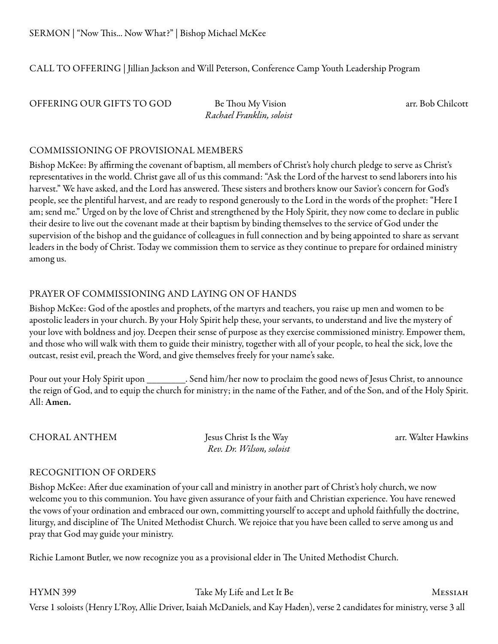CALL TO OFFERING | Jillian Jackson and Will Peterson, Conference Camp Youth Leadership Program

OFFERING OUR GIFTS TO GOD Be Thou My Vision arr. Bob Chilcott

*Rachael Franklin, soloist*

#### COMMISSIONING OF PROVISIONAL MEMBERS

Bishop McKee: By affirming the covenant of baptism, all members of Christ's holy church pledge to serve as Christ's representatives in the world. Christ gave all of us this command: "Ask the Lord of the harvest to send laborers into his harvest." We have asked, and the Lord has answered. These sisters and brothers know our Savior's concern for God's people, see the plentiful harvest, and are ready to respond generously to the Lord in the words of the prophet: "Here I am; send me." Urged on by the love of Christ and strengthened by the Holy Spirit, they now come to declare in public their desire to live out the covenant made at their baptism by binding themselves to the service of God under the supervision of the bishop and the guidance of colleagues in full connection and by being appointed to share as servant leaders in the body of Christ. Today we commission them to service as they continue to prepare for ordained ministry among us.

## PRAYER OF COMMISSIONING AND LAYING ON OF HANDS

Bishop McKee: God of the apostles and prophets, of the martyrs and teachers, you raise up men and women to be apostolic leaders in your church. By your Holy Spirit help these, your servants, to understand and live the mystery of your love with boldness and joy. Deepen their sense of purpose as they exercise commissioned ministry. Empower them, and those who will walk with them to guide their ministry, together with all of your people, to heal the sick, love the outcast, resist evil, preach the Word, and give themselves freely for your name's sake.

Pour out your Holy Spirit upon . Send him/her now to proclaim the good news of Jesus Christ, to announce the reign of God, and to equip the church for ministry; in the name of the Father, and of the Son, and of the Holy Spirit. All: Amen.

CHORAL ANTHEM Jesus Christ Is the Way arr. Walter Hawkins *Rev. Dr. Wilson, soloist*

## RECOGNITION OF ORDERS

Bishop McKee: After due examination of your call and ministry in another part of Christ's holy church, we now welcome you to this communion. You have given assurance of your faith and Christian experience. You have renewed the vows of your ordination and embraced our own, committing yourself to accept and uphold faithfully the doctrine, liturgy, and discipline of The United Methodist Church. We rejoice that you have been called to serve among us and pray that God may guide your ministry.

Richie Lamont Butler, we now recognize you as a provisional elder in The United Methodist Church.

HYMN 399 Take My Life and Let It Be MESSIAH Verse 1 soloists (Henry L'Roy, Allie Driver, Isaiah McDaniels, and Kay Haden), verse 2 candidates for ministry, verse 3 all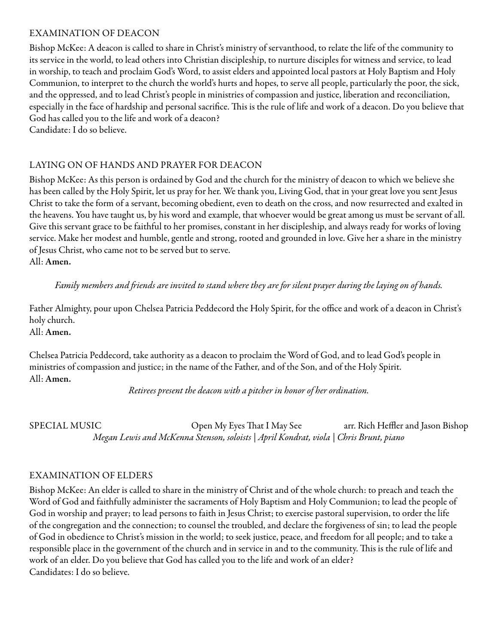#### EXAMINATION OF DEACON

Bishop McKee: A deacon is called to share in Christ's ministry of servanthood, to relate the life of the community to its service in the world, to lead others into Christian discipleship, to nurture disciples for witness and service, to lead in worship, to teach and proclaim God's Word, to assist elders and appointed local pastors at Holy Baptism and Holy Communion, to interpret to the church the world's hurts and hopes, to serve all people, particularly the poor, the sick, and the oppressed, and to lead Christ's people in ministries of compassion and justice, liberation and reconciliation, especially in the face of hardship and personal sacrifice. This is the rule of life and work of a deacon. Do you believe that God has called you to the life and work of a deacon? Candidate: I do so believe.

#### LAYING ON OF HANDS AND PRAYER FOR DEACON

Bishop McKee: As this person is ordained by God and the church for the ministry of deacon to which we believe she has been called by the Holy Spirit, let us pray for her. We thank you, Living God, that in your great love you sent Jesus Christ to take the form of a servant, becoming obedient, even to death on the cross, and now resurrected and exalted in the heavens. You have taught us, by his word and example, that whoever would be great among us must be servant of all. Give this servant grace to be faithful to her promises, constant in her discipleship, and always ready for works of loving service. Make her modest and humble, gentle and strong, rooted and grounded in love. Give her a share in the ministry of Jesus Christ, who came not to be served but to serve. All: Amen.

*Family members and friends are invited to stand where they are for silent prayer during the laying on of hands.*

Father Almighty, pour upon Chelsea Patricia Peddecord the Holy Spirit, for the office and work of a deacon in Christ's holy church. All: Amen.

Chelsea Patricia Peddecord, take authority as a deacon to proclaim the Word of God, and to lead God's people in ministries of compassion and justice; in the name of the Father, and of the Son, and of the Holy Spirit. All: Amen.

*Retirees present the deacon with a pitcher in honor of her ordination.* 

SPECIAL MUSIC <sup>Open</sup> My Eyes That I May See arr. Rich Heffler and Jason Bishop *Megan Lewis and McKenna Stenson, soloists | April Kondrat, viola | Chris Brunt, piano*

#### EXAMINATION OF ELDERS

Bishop McKee: An elder is called to share in the ministry of Christ and of the whole church: to preach and teach the Word of God and faithfully administer the sacraments of Holy Baptism and Holy Communion; to lead the people of God in worship and prayer; to lead persons to faith in Jesus Christ; to exercise pastoral supervision, to order the life of the congregation and the connection; to counsel the troubled, and declare the forgiveness of sin; to lead the people of God in obedience to Christ's mission in the world; to seek justice, peace, and freedom for all people; and to take a responsible place in the government of the church and in service in and to the community. This is the rule of life and work of an elder. Do you believe that God has called you to the life and work of an elder? Candidates: I do so believe.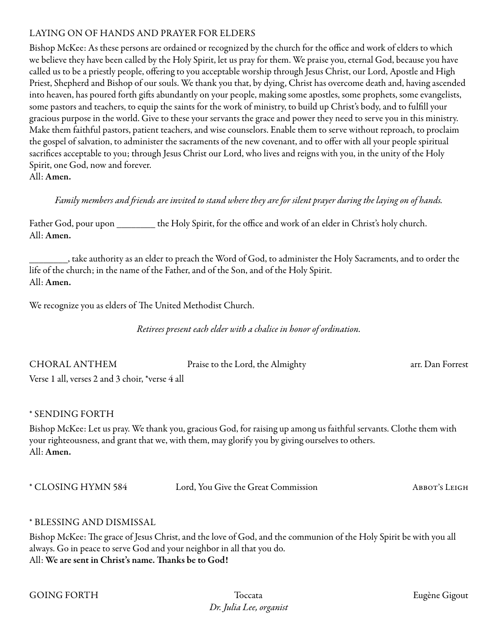#### LAYING ON OF HANDS AND PRAYER FOR ELDERS

Bishop McKee: As these persons are ordained or recognized by the church for the office and work of elders to which we believe they have been called by the Holy Spirit, let us pray for them. We praise you, eternal God, because you have called us to be a priestly people, offering to you acceptable worship through Jesus Christ, our Lord, Apostle and High Priest, Shepherd and Bishop of our souls. We thank you that, by dying, Christ has overcome death and, having ascended into heaven, has poured forth gifts abundantly on your people, making some apostles, some prophets, some evangelists, some pastors and teachers, to equip the saints for the work of ministry, to build up Christ's body, and to fulfill your gracious purpose in the world. Give to these your servants the grace and power they need to serve you in this ministry. Make them faithful pastors, patient teachers, and wise counselors. Enable them to serve without reproach, to proclaim the gospel of salvation, to administer the sacraments of the new covenant, and to offer with all your people spiritual sacrifices acceptable to you; through Jesus Christ our Lord, who lives and reigns with you, in the unity of the Holy Spirit, one God, now and forever.

All: Amen.

*Family members and friends are invited to stand where they are for silent prayer during the laying on of hands.*

| Father God, pour upon | the Holy Spirit, for the office and work of an elder in Christ's holy church. |  |
|-----------------------|-------------------------------------------------------------------------------|--|
| All: Amen.            |                                                                               |  |

\_\_\_\_\_\_\_\_, take authority as an elder to preach the Word of God, to administer the Holy Sacraments, and to order the life of the church; in the name of the Father, and of the Son, and of the Holy Spirit. All: Amen.

We recognize you as elders of The United Methodist Church.

*Retirees present each elder with a chalice in honor of ordination.* 

| <b>CHORAL ANTHEM</b>                            | Praise to the Lord, the Almighty | arr. Dan Forrest |
|-------------------------------------------------|----------------------------------|------------------|
| Verse 1 all, verses 2 and 3 choir, *verse 4 all |                                  |                  |

## \* SENDING FORTH

Bishop McKee: Let us pray. We thank you, gracious God, for raising up among us faithful servants. Clothe them with your righteousness, and grant that we, with them, may glorify you by giving ourselves to others. All: Amen.

| * CLOSING HYMN 584 | Lord, You Give the Great Commission | ABBOT'S LEIGH |
|--------------------|-------------------------------------|---------------|
|--------------------|-------------------------------------|---------------|

#### \* BLESSING AND DISMISSAL

Bishop McKee: The grace of Jesus Christ, and the love of God, and the communion of the Holy Spirit be with you all always. Go in peace to serve God and your neighbor in all that you do. All: We are sent in Christ's name. Thanks be to God!